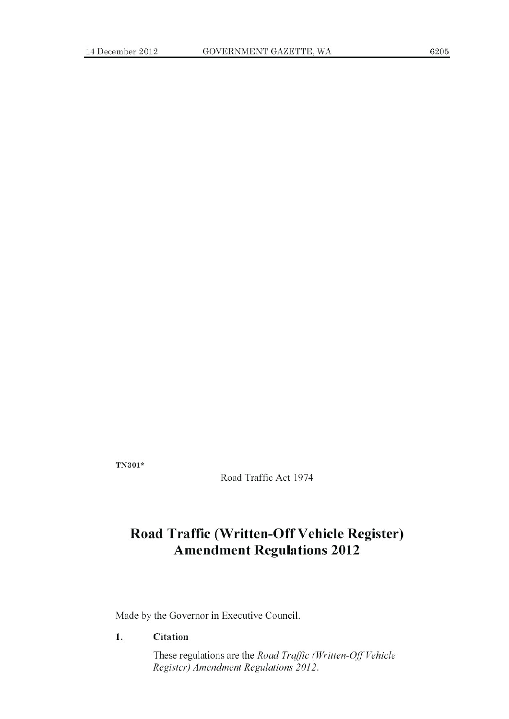**fN301\***

Road Traffic Act 1974

# **Road Traffic (Written-Off Vehicle Register) Amendment Regulations 2012**

Made by the Governor in Executive Council.

**1. Citation**

These regulations are the *Road Traffic (Written-Off'Vehicle Register)* Amendment Regulations 2012.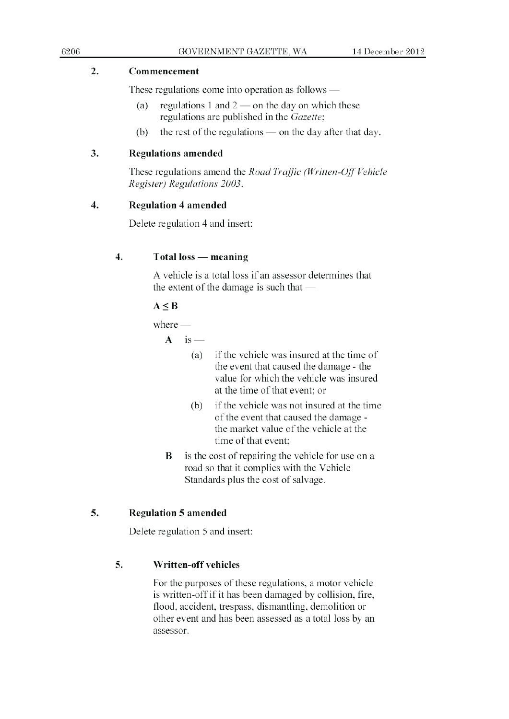#### 2. Commencement

These regulations come into operation as follows  $-$ 

- (a) regulations 1 and  $2$  on the day on which these regulations are published in the Gazette;
- (b) the rest of the regulations  $\sim$  on the day after that day.

#### 3. Regulations amended

These regulations amend the *Road Traffic (Written-Off Vehicle*) *Register)* Regulations 2003.

#### 4. **Regulation** 4 amended

Delete regulation 4 and insert:

# 4. Total loss — **meaning**

A vehicle is a total loss if an assessor determines that the extent of the damage is such that —

# $A \leq B$

 $where -$ 

 $A$  is —

- (a) i f the vehicle was insured at the time of the event that caused the damage - the value for which the vehicle <sup>w</sup> as insured at the time of that event; or
- (b) if the vehicle was not insured at the time of the event that caused the damage the market value of the vehicle at the time of that event;
- $\bf{B}$  is the cost of repairing the vehicle for use on a road so that it complies with the Vehicle Standards plus the cost of salvage.

# 5. Regulation 5 amended

Delete regulation 5 and insert:

# 5. Written-off vehicles

For the purposes of these regulations. a motor vehicle is written-off if it has been damaged by collision, fire, flood, accident, trespass. dismantling, demolition or other event and has been assessed as a total loss by an assessor.